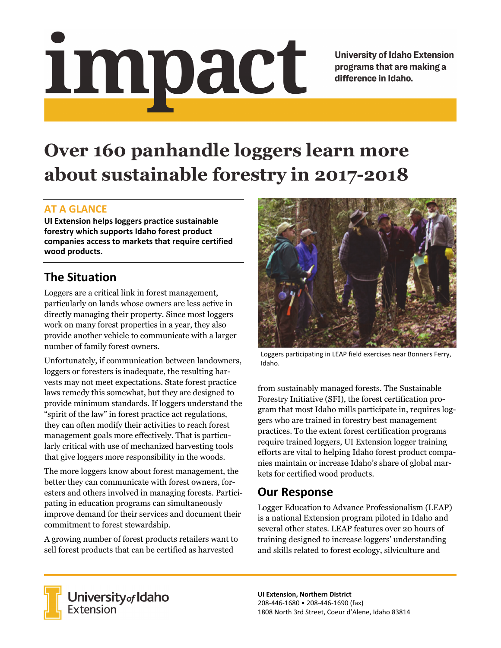# impact

**University of Idaho Extension** programs that are making a difference in Idaho.

# **Over 160 panhandle loggers learn more about sustainable forestry in 2017-2018**

#### **AT A GLANCE**

**UI Extension helps loggers practice sustainable forestry which supports Idaho forest product companies access to markets that require certified wood products.**

# **The Situation**

Loggers are a critical link in forest management, particularly on lands whose owners are less active in directly managing their property. Since most loggers work on many forest properties in a year, they also provide another vehicle to communicate with a larger number of family forest owners.

Unfortunately, if communication between landowners, loggers or foresters is inadequate, the resulting harvests may not meet expectations. State forest practice laws remedy this somewhat, but they are designed to provide minimum standards. If loggers understand the "spirit of the law" in forest practice act regulations, they can often modify their activities to reach forest management goals more effectively. That is particularly critical with use of mechanized harvesting tools that give loggers more responsibility in the woods.

The more loggers know about forest management, the better they can communicate with forest owners, foresters and others involved in managing forests. Participating in education programs can simultaneously improve demand for their services and document their commitment to forest stewardship.

A growing number of forest products retailers want to sell forest products that can be certified as harvested



Loggers participating in LEAP field exercises near Bonners Ferry, Idaho.

from sustainably managed forests. The Sustainable Forestry Initiative (SFI), the forest certification program that most Idaho mills participate in, requires loggers who are trained in forestry best management practices. To the extent forest certification programs require trained loggers, UI Extension logger training efforts are vital to helping Idaho forest product companies maintain or increase Idaho's share of global markets for certified wood products.

### **Our Response**

Logger Education to Advance Professionalism (LEAP) is a national Extension program piloted in Idaho and several other states. LEAP features over 20 hours of training designed to increase loggers' understanding and skills related to forest ecology, silviculture and



**University** of Idaho<br>Extension